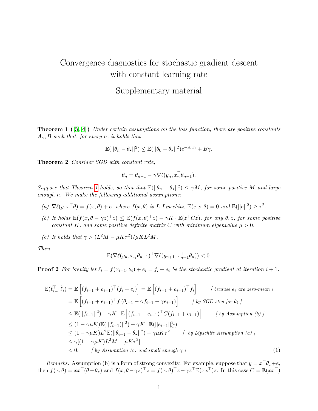## Convergence diagnostics for stochastic gradient descent with constant learning rate

## Supplementary material

<span id="page-0-0"></span>**Theorem 1**  $([3, 4])$  $([3, 4])$  $([3, 4])$  $([3, 4])$  Under certain assumptions on the loss function, there are positive constants  $A_{\gamma}$ , B such that, for every n, it holds that

$$
\mathbb{E}(||\theta_n - \theta_\star||^2) \le \mathbb{E}(||\theta_0 - \theta_\star||^2)e^{-A_\gamma n} + B\gamma.
$$

Theorem 2 Consider SGD with constant rate,

$$
\theta_n = \theta_{n-1} - \gamma \nabla \ell(y_n, x_n^\top \theta_{n-1}).
$$

Suppose that Theorem [1](#page-0-0) holds, so that that  $\mathbb{E}(|\theta_n - \theta_{\star}|^2) \le \gamma M$ , for some positive M and large enough n. We make the following additional assumptions:

- (a)  $\nabla \ell(y, x^{\top} \theta) = f(x, \theta) + e$ , where  $f(x, \theta)$  is L-Lipschitz,  $\mathbb{E}(e|x, \theta) = 0$  and  $\mathbb{E}(||e||^2) \geq \tau^2$ .
- (b) It holds  $\mathbb{E}(f(x,\theta \gamma z)^{\top}z) \leq \mathbb{E}(f(x,\theta)^{\top}z) \gamma K \cdot \mathbb{E}(z^{\top}Cz)$ , for any  $\theta, z$ , for some positive constant K, and some positive definite matrix C with minimum eigenvalue  $\mu > 0$ .
- (c) It holds that  $\gamma > (L^2M \mu K \tau^2)/\mu KL^2M$ .

Then,

$$
\mathbb{E}(\nabla \ell(y_n, x_n^\top \theta_{n-1})^\top \nabla \ell(y_{n+1}, x_{n+1}^\top \theta_n)) < 0.
$$

**Proof 2** For brevity let  $\tilde{\ell}_i = f(x_{i+1}, \theta_i) + e_i = f_i + e_i$  be the stochastic gradient at iteration  $i + 1$ .

$$
\mathbb{E}(\tilde{\ell}_{i-1}^{\top}\tilde{\ell}_{i}) = \mathbb{E}\left[(f_{i-1} + e_{i-1})^{\top}(f_{i} + e_{i})\right] = \mathbb{E}\left[(f_{i-1} + e_{i-1})^{\top}f_{i}\right] \qquad \text{(because } e_{i} \text{ are zero-mean } j
$$
\n
$$
= \mathbb{E}\left[(f_{i-1} + e_{i-1})^{\top}f(\theta_{i-1} - \gamma f_{i-1} - \gamma e_{i-1})\right] \qquad \text{(by SGD step for } \theta_{i} \text{]}
$$
\n
$$
\leq \mathbb{E}(\vert |f_{i-1}\vert\vert^{2}) - \gamma K \cdot \mathbb{E}\left[(f_{i-1} + e_{i-1})^{\top}C(f_{i-1} + e_{i-1})\right] \qquad \text{(by Assumption (b))}
$$
\n
$$
\leq (1 - \gamma \mu K)\mathbb{E}(\vert |f_{i-1}\vert\vert^{2}) - \gamma K \cdot \mathbb{E}(\vert |e_{i-1}\vert\vert^{2}_{C})
$$
\n
$$
\leq (1 - \gamma \mu K)L^{2}\mathbb{E}(\vert |\theta_{i-1} - \theta_{\star}\vert\vert^{2}) - \gamma \mu K\tau^{2} \qquad \text{(by Lipschitz Assumption (a))}
$$
\n
$$
\leq \gamma[(1 - \gamma \mu K)L^{2}M - \mu K\tau^{2}]
$$
\n
$$
< 0. \qquad \text{(by Assumption (c) and small enough } \gamma \text{ ]}
$$
\n(1)

Remarks. Assumption (b) is a form of strong convexity. For example, suppose that  $y = x^{\top} \theta_{*} + e$ , then  $f(x, \theta) = xx^\top(\theta - \theta_\star)$  and  $f(x, \theta - \gamma z)^\top z = f(x, \theta)^\top z - \gamma z^\top \mathbb{E}(xx^\top)z$ . In this case  $C = \mathbb{E}(xx^\top)$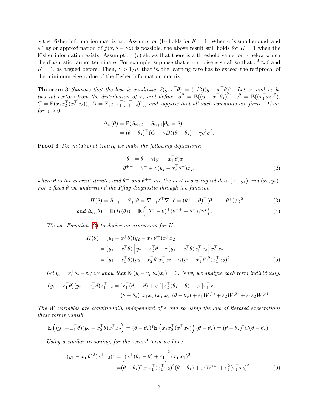is the Fisher information matrix and Assumption (b) holds for  $K = 1$ . When  $\gamma$  is small enough and a Taylor approximation of  $f(x, \theta - \gamma z)$  is possible, the above result still holds for  $K = 1$  when the Fisher information exists. Assumption (c) shows that there is a threshold value for  $\gamma$  below which the diagnostic cannot terminate. For example, suppose that error noise is small so that  $\tau^2 \approx 0$  and  $K = 1$ , as argued before. Then,  $\gamma > 1/\mu$ , that is, the learning rate has to exceed the reciprocal of the minimum eigenvalue of the Fisher information matrix.

<span id="page-1-2"></span>**Theorem 3** Suppose that the loss is quadratic,  $\ell(y, x^{\top}\theta) = (1/2)(y - x^{\top}\theta)^2$ . Let  $x_1$  and  $x_2$  be two iid vectors from the distribution of x, and define:  $\sigma^2 = \mathbb{E}((y - x^\top \theta_\star)^2)$ ;  $c^2 = \mathbb{E}((x_1^\top x_2)^2)$ ;  $C = \mathbb{E}(x_1 x_2^{\top}(x_1^{\top} x_2)); D = \mathbb{E}(x_1 x_1^{\top}(x_1^{\top} x_2)^2)$ , and suppose that all such constants are finite. Then, for  $\gamma > 0$ ,

$$
\Delta_n(\theta) = \mathbb{E}(S_{n+2} - S_{n+1}|\theta_n = \theta)
$$
  
=  $(\theta - \theta_\star)^\top (C - \gamma D)(\theta - \theta_\star) - \gamma c^2 \sigma^2$ .

**Proof 3** For notational brevity we make the following definitions:

<span id="page-1-3"></span><span id="page-1-0"></span>
$$
\begin{aligned} \theta^+ &= \theta + \gamma(y_1 - x_1^\top \theta)x_1 \\ \theta^{++} &= \theta^+ + \gamma(y_2 - x_2^\top \theta^+)x_2, \end{aligned} \tag{2}
$$

where  $\theta$  is the current iterate, and  $\theta^+$  and  $\theta^{++}$  are the next two using iid data  $(x_1, y_1)$  and  $(x_2, y_2)$ . For a fixed  $\theta$  we understand the Pflug diagnostic through the function

$$
H(\theta) = S_{++} - S_{+}|\theta = \nabla_{++}\ell^{\top}\nabla_{+}\ell = (\theta^{+} - \theta)^{\top}(\theta^{++} - \theta^{+})/\gamma^{2}
$$
(3)

$$
and \Delta_n(\theta) = \mathbb{E}(H(\theta)) = \mathbb{E}\left((\theta^+ - \theta)^{\top}(\theta^{++} - \theta^+)/\gamma^2\right).
$$
\n(4)

We use Equation  $(2)$  to derive an expression for H:

$$
H(\theta) = (y_1 - x_1^{\top}\theta)(y_2 - x_2^{\top}\theta^+)x_1^{\top}x_2
$$
  
=  $(y_1 - x_1^{\top}\theta)\left[y_2 - x_2^{\top}\theta - \gamma(y_1 - x_1^{\top}\theta)x_1^{\top}x_2\right]x_1^{\top}x_2$   
=  $(y_1 - x_1^{\top}\theta)(y_2 - x_2^{\top}\theta)x_1^{\top}x_2 - \gamma(y_1 - x_1^{\top}\theta)^2(x_1^{\top}x_2)^2.$  (5)

Let  $y_i = x_i^{\top} \theta_{\star} + \varepsilon_i$ ; we know that  $\mathbb{E}((y_i - x_i^{\top} \theta_{\star}) x_i) = 0$ . Now, we analyze each term individually:

$$
(y_1 - x_1^{\top}\theta)(y_2 - x_2^{\top}\theta)x_1^{\top}x_2 = [x_1^{\top}(\theta_{\star} - \theta) + \varepsilon_1][x_2^{\top}(\theta_{\star} - \theta) + \varepsilon_2]x_1^{\top}x_2
$$
  
=  $(\theta - \theta_{\star})^{\top}x_1x_2^{\top}(x_1^{\top}x_2)(\theta - \theta_{\star}) + \varepsilon_1W^{(1)} + \varepsilon_2W^{(2)} + \varepsilon_1\varepsilon_2W^{(3)}.$ 

The W variables are conditionally independent of  $\varepsilon$  and so using the law of iterated expectations these terms vanish.

$$
\mathbb{E}\left((y_1 - x_1^\top \theta)(y_2 - x_2^\top \theta)x_1^\top x_2\right) = (\theta - \theta_\star)^\top \mathbb{E}\left(x_1 x_2^\top (x_1^\top x_2)\right) (\theta - \theta_\star) = (\theta - \theta_\star)^\top C (\theta - \theta_\star).
$$

Using a similar reasoning, for the second term we have:

<span id="page-1-1"></span>
$$
(y_1 - x_1^{\top}\theta)^2 (x_1^{\top}x_2)^2 = \left[ (x_1^{\top}(\theta_{\star} - \theta) + \varepsilon_1)^2 (x_1^{\top}x_2)^2 - (\theta - \theta_{\star})^{\top}x_1x_1^{\top}(x_1^{\top}x_2)^2 (\theta - \theta_{\star}) + \varepsilon_1 W^{(4)} + \varepsilon_1^2 (x_1^{\top}x_2)^2. \right]
$$
(6)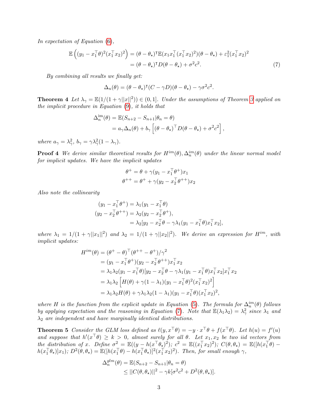In expectation of Equation [\(6\)](#page-1-1),

$$
\mathbb{E}\left((y_1 - x_1^\top \theta)^2 (x_1^\top x_2)^2\right) = (\theta - \theta_\star)^\top \mathbb{E}(x_1 x_1^\top (x_1^\top x_2)^2)(\theta - \theta_\star) + \varepsilon_1^2 (x_1^\top x_2)^2
$$
  
=  $(\theta - \theta_\star)^\top D(\theta - \theta_\star) + \sigma^2 c^2$ . (7)

By combining all results we finally get:

<span id="page-2-0"></span>
$$
\Delta_n(\theta) = (\theta - \theta_\star)^\intercal (C - \gamma D)(\theta - \theta_\star) - \gamma \sigma^2 c^2.
$$

**Theorem 4** Let  $\lambda_{\gamma} = \mathbb{E}(1/(1+\gamma||x||^2)) \in (0,1]$ . Under the assumptions of Theorem [3](#page-1-2) applied on the implicit procedure in Equation [\(9\)](#page-3-0), it holds that

$$
\Delta_n^{\text{im}}(\theta) = \mathbb{E}(S_{n+2} - S_{n+1}|\theta_n = \theta)
$$
  
=  $a_\gamma \Delta_n(\theta) + b_\gamma \left[ (\theta - \theta_\star)^\top D(\theta - \theta_\star) + \sigma^2 c^2 \right],$ 

where  $a_{\gamma} = \lambda_{\gamma}^2$ ,  $b_{\gamma} = \gamma \lambda_{\gamma}^2 (1 - \lambda_{\gamma})$ .

**Proof 4** We derive similar theoretical results for  $H^{im}(\theta)$ ,  $\Delta_n^{im}(\theta)$  under the linear normal model for implicit updates. We have the implicit updates

$$
\theta^+ = \theta + \gamma(y_1 - x_1^\top \theta^+) x_1
$$

$$
\theta^{++} = \theta^+ + \gamma(y_2 - x_2^\top \theta^{++}) x_2
$$

Also note the collinearity

$$
(y_1 - x_1^{\top} \theta^+) = \lambda_1 (y_1 - x_1^{\top} \theta)
$$
  
\n
$$
(y_2 - x_2^{\top} \theta^{++}) = \lambda_2 (y_2 - x_2^{\top} \theta^+),
$$
  
\n
$$
= \lambda_2 [y_2 - x_2^{\top} \theta - \gamma \lambda_1 (y_1 - x_1^{\top} \theta) x_1^{\top} x_2],
$$

where  $\lambda_1 = 1/(1 + \gamma ||x_1||^2)$  and  $\lambda_2 = 1/(1 + \gamma ||x_2||^2)$ . We derive an expression for  $H^{im}$ , with implicit updates:

$$
H^{im}(\theta) = (\theta^+ - \theta)^{\top}(\theta^{++} - \theta^+)/\gamma^2
$$
  
\n
$$
= (y_1 - x_1^{\top}\theta^+)(y_2 - x_2^{\top}\theta^{++})x_1^{\top}x_2
$$
  
\n
$$
= \lambda_1\lambda_2(y_1 - x_1^{\top}\theta)[y_2 - x_2^{\top}\theta - \gamma\lambda_1(y_1 - x_1^{\top}\theta)x_1^{\top}x_2]x_1^{\top}x_2
$$
  
\n
$$
= \lambda_1\lambda_2 \left[H(\theta) + \gamma(1 - \lambda_1)(y_1 - x_1^{\top}\theta)^2(x_1^{\top}x_2)^2\right]
$$
  
\n
$$
= \lambda_1\lambda_2H(\theta) + \gamma\lambda_1\lambda_2(1 - \lambda_1)(y_1 - x_1^{\top}\theta)(x_1^{\top}x_2)^2,
$$

where H is the function from the explicit update in Equation [\(5\)](#page-1-3). The formula for  $\Delta_n^{im}(\theta)$  follows by applying expectation and the reasoning in Equation [\(7\)](#page-2-0). Note that  $\mathbb{E}(\lambda_1 \lambda_2) = \lambda_{\gamma}^2$  since  $\lambda_1$  and  $\lambda_2$  are independent and have marginally identical distributions.

**Theorem 5** Consider the GLM loss defined as  $\ell(y, x^{\top} \theta) = -y \cdot x^{\top} \theta + f(x^{\top} \theta)$ . Let  $h(u) = f'(u)$ and suppose that  $h'(x^{\top}\theta) \geq k > 0$ , almost surely for all  $\theta$ . Let  $x_1, x_2$  be two iid vectors from the distribution of x. Define  $\sigma^2 = \mathbb{E}((y - h(x^{\top} \theta_{\star})^2); c^2 = \mathbb{E}((x_1^{\top} x_2)^2); C(\theta, \theta_{\star}) = \mathbb{E}([h(x_1^{\top} \theta)$  $h(x_1^\top \theta_\star)|x_1\rangle; D^2(\theta, \theta_\star) = \mathbb{E}([h(x_1^\top \theta) - h(x_1^\top \theta_\star)]^2(x_1^\top x_2)^2).$  Then, for small enough  $\gamma$ ,

$$
\Delta_n^{glm}(\theta) = \mathbb{E}(S_{n+2} - S_{n+1}|\theta_n = \theta)
$$
  
\n
$$
\leq ||C(\theta, \theta_\star)||^2 - \gamma k [\sigma^2 c^2 + D^2(\theta, \theta_\star)].
$$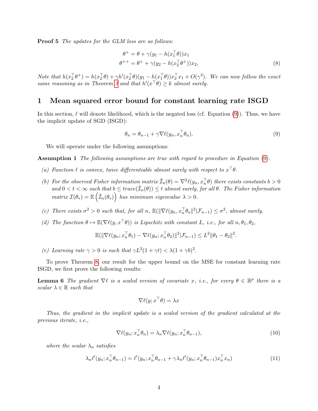**Proof 5** The updates for the GLM loss are as follows:

$$
\theta^+ = \theta + \gamma(y_1 - h(x_1^\top \theta))x_1
$$
  
\n
$$
\theta^{++} = \theta^+ + \gamma(y_2 - h(x_2^\top \theta^+))x_2,
$$
\n(8)

Note that  $h(x_2^\top \theta^+) = h(x_2^\top \theta) + \gamma h'(x_2^\top \theta)(y_1 - h(x_1^\top \theta))x_2^\top x_1 + O(\gamma^2)$ . We can now follow the exact same reasoning as in Theorem [3](#page-1-2) and that  $h'(x^{\top}\theta) \geq k$  almost surely.

## 1 Mean squared error bound for constant learning rate ISGD

In this section,  $\ell$  will denote likelihood, which is the negated loss (cf. Equation [\(9\)](#page-3-0)). Thus, we have the implicit update of SGD (ISGD):

<span id="page-3-0"></span>
$$
\theta_n = \theta_{n-1} + \gamma \nabla \ell(y_n, x_n^\top \theta_n). \tag{9}
$$

We will operate under the following assumptions:

Assumption 1 The following assumptions are true with regard to procedure in Equation [\(9\)](#page-3-0).

- (a) Function  $\ell$  is convex, twice differentiable almost surely with respect to  $x^{\top}\theta$ .
- (b) For the observed Fisher information matrix  $\hat{\mathcal{I}}_n(\theta) = \nabla^2 \ell(y_n, x_n^{\top} \theta)$  there exists constants  $b > 0$ and  $0 < t < \infty$  such that  $b \leq trace(\hat{\mathcal{I}}_n(\theta)) \leq t$  almost surely, for all  $\theta$ . The Fisher information  $matrix \ I(\theta_*) = \mathbb{E} \left( \hat{\mathcal{I}}_n(\theta_*) \right)$  has minimum eigenvalue  $\lambda > 0$ .
- (c) There exists  $\sigma^2 > 0$  such that, for all n,  $\mathbb{E}(\|\nabla \ell(y_n, x_n^\top \theta_\star\|^2 | \mathcal{F}_{n-1}) \leq \sigma^2$ , almost surely.
- (d) The function  $\theta \mapsto \mathbb{E}(\nabla \ell(y, x^{\top} \theta))$  is Lipschitz with constant L, i.e., for all  $n, \theta_1, \theta_2$ ,

$$
\mathbb{E}(\|\nabla \ell(y_n; x_n^\top \theta_1) - \nabla \ell(y_n; x_n^\top \theta_2)\|^2 | \mathcal{F}_{n-1}) \leq L^2 \|\theta_1 - \theta_2\|^2.
$$

(e) Learning rate  $\gamma > 0$  is such that  $\gamma L^2(1 + \gamma t) < \lambda (1 + \gamma b)^2$ .

To prove Theorem [8,](#page-4-0) our result for the upper bound on the MSE for constant learning rate ISGD, we first prove the following results:

**Lemma 6** The gradient  $\nabla \ell$  is a scaled version of covariate x, i.e., for every  $\theta \in \mathbb{R}^p$  there is a scalar  $\lambda \in \mathbb{R}$  such that

<span id="page-3-1"></span>
$$
\nabla \ell(y; x^{\top} \theta) = \lambda x
$$

Thus, the gradient in the implicit update is a scaled version of the gradient calculated at the previous iterate, i.e.,

$$
\nabla \ell(y_n; x_n^\top \theta_n) = \lambda_n \nabla \ell(y_n; x_n^\top \theta_{n-1}),\tag{10}
$$

where the scalar  $\lambda_n$  satisfies

$$
\lambda_n \ell'(y_n; x_n^\top \theta_{n-1}) = \ell'(y_n; x_n^\top \theta_{n-1} + \gamma \lambda_n \ell'(y_n; x_n^\top \theta_{n-1}) x_n^\top x_n)
$$
\n(11)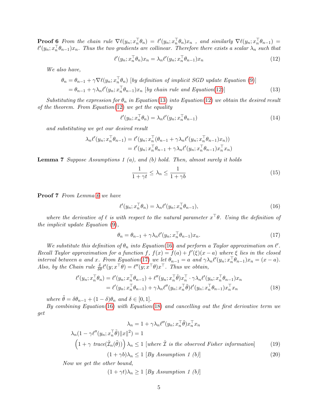**Proof 6** From the chain rule  $\nabla \ell(y_n; x_n^{\top} \theta_n) = \ell'(y_n; x_n^{\top} \theta_n) x_n$ , and similarly  $\nabla \ell(y_n; x_n^{\top} \theta_{n-1}) =$  $\ell'(y_n; x_n^\top \theta_{n-1})x_n$ . Thus the two gradients are collinear. Therefore there exists a scalar  $\lambda_n$  such that

<span id="page-4-1"></span>
$$
\ell'(y_n; x_n^\top \theta_n) x_n = \lambda_n \ell'(y_n; x_n^\top \theta_{n-1}) x_n \tag{12}
$$

We also have,

$$
\theta_n = \theta_{n-1} + \gamma \nabla \ell(y_n; x_n^\top \theta_n) \quad [by \ definition \ of \ implicit \ SGD \ update \ Equation \ (9)]
$$
  
=  $\theta_{n-1} + \gamma \lambda_n \ell'(y_n; x_n^\top \theta_{n-1}) x_n \quad [by \ chain \ rule \ and \ Equation (12)]$  (13)

Substituting the expression for  $\theta_n$  in Equation[\(13\)](#page-4-2) into Equation[\(12\)](#page-4-1) we obtain the desired result of the theorem. From Equation[\(12\)](#page-4-1) we get the equality

<span id="page-4-2"></span>
$$
\ell'(y_n; x_n^\top \theta_n) = \lambda_n \ell'(y_n; x_n^\top \theta_{n-1})
$$
\n(14)

and substituting we get our desired result

$$
\lambda_n \ell'(y_n; x_n^\top \theta_{n-1}) = \ell'(y_n; x_n^\top (\theta_{n-1} + \gamma \lambda_n \ell'(y_n; x_n^\top \theta_{n-1}) x_n))
$$
  
= 
$$
\ell'(y_n; x_n^\top \theta_{n-1} + \gamma \lambda_n \ell'(y_n; x_n^\top \theta_{n-1}) x_n^\top x_n)
$$

<span id="page-4-6"></span>**Lemma 7** Suppose Assumptions 1 (a), and (b) hold. Then, almost surely it holds

<span id="page-4-4"></span><span id="page-4-3"></span>
$$
\frac{1}{1+\gamma t} \le \lambda_n \le \frac{1}{1+\gamma b} \tag{15}
$$

Proof 7 From Lemma [6](#page-3-1) we have

$$
\ell'(y_n; x_n^\top \theta_n) = \lambda_n \ell'(y_n; x_n^\top \theta_{n-1}),\tag{16}
$$

where the derivative of  $\ell$  is with respect to the natural parameter  $x^{\top}\theta$ . Using the definition of the implicit update Equation [\(9\)](#page-3-0),

<span id="page-4-5"></span>
$$
\theta_n = \theta_{n-1} + \gamma \lambda_n \ell'(y_n; x_n^\top \theta_{n-1}) x_n. \tag{17}
$$

We substitute this definition of  $\theta_n$  into Equation[\(16\)](#page-4-3) and perform a Taylor approximation on  $\ell'$ . Recall Taylor approximation for a function f,  $f(x) = f(a) + f'(\xi)(x - a)$  where  $\xi$  lies in the closed interval between a and x. From Equation[\(17\)](#page-4-4) we let  $\theta_{n-1} = a$  and  $\gamma \lambda_n \ell'(y_n; x_n^\top \theta_{n-1})x_n = (x - a)$ . Also, by the Chain rule  $\frac{\delta}{\delta \theta} \ell'(y; x^{\top} \theta) = \ell''(y; x^{\top} \theta) x^{\top}$ . Thus we obtain,

$$
\ell'(y_n; x_n^\top \theta_n) = \ell'(y_n; x_n^\top \theta_{n-1}) + \ell''(y_n; x_n^\top \tilde{\theta}) x_n^\top \cdot \gamma \lambda_n \ell'(y_n; x_n^\top \theta_{n-1}) x_n \n= \ell'(y_n; x_n^\top \theta_{n-1}) + \gamma \lambda_n \ell''(y_n; x_n^\top \tilde{\theta}) \ell'(y_n; x_n^\top \theta_{n-1}) x_n^\top x_n
$$
\n(18)

where  $\tilde{\theta} = \delta \theta_{n-1} + (1 - \delta) \theta_n$  and  $\delta \in [0, 1]$ .

By combining Equation[\(16\)](#page-4-3) with Equation[\(18\)](#page-4-5) and cancelling out the first derivative term we get

$$
\lambda_n = 1 + \gamma \lambda_n \ell''(y_n; x_n^\top \tilde{\theta}) x_n^\top x_n
$$
  
\n
$$
\lambda_n (1 - \gamma \ell''(y_n; x_n^\top \tilde{\theta}) \|x\|^2) = 1
$$
  
\n
$$
\left(1 + \gamma \text{ trace}(\hat{\mathcal{I}}_n(\tilde{\theta}))\right) \lambda_n \le 1 \text{ [where } \hat{\mathcal{I}} \text{ is the observed Fisher information]}
$$
  
\n
$$
(1 + \gamma b)\lambda_n \le 1 \text{ [By Assumption 1 (b)]}
$$
  
\n(20)

<span id="page-4-0"></span>Now we get the other bound,

 $(1 + \gamma t)\lambda_n \ge 1$  [By Assumption 1 (b)]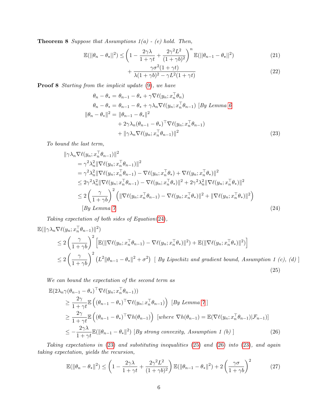**Theorem 8** Suppose that Assumptions  $1(a)$  - (e) hold. Then,

$$
\mathbb{E}(\left|\left|\theta_{n}-\theta_{\star}\right|\right|^{2}) \leq \left(1 - \frac{2\gamma\lambda}{1+\gamma t} + \frac{2\gamma^{2}L^{2}}{(1+\gamma b)^{2}}\right)^{n} \mathbb{E}(\left|\left|\theta_{n-1}-\theta_{\star}\right|\right|^{2})\tag{21}
$$

<span id="page-5-1"></span><span id="page-5-0"></span>
$$
+\frac{\gamma\sigma^2(1+\gamma t)}{\lambda(1+\gamma b)^2-\gamma L^2(1+\gamma t)}
$$
\n(22)

Proof 8 Starting from the implicit update  $(9)$ , we have

$$
\theta_n - \theta_* = \theta_{n-1} - \theta_* + \gamma \nabla \ell(y_n; x_n^\top \theta_n)
$$
  
\n
$$
\theta_n - \theta_* = \theta_{n-1} - \theta_* + \gamma \lambda_n \nabla \ell(y_n; x_n^\top \theta_{n-1}) \quad [By Lemma 6]
$$
  
\n
$$
\|\theta_n - \theta_*\|^2 = \|\theta_{n-1} - \theta_*\|^2
$$
  
\n
$$
+ 2\gamma \lambda_n (\theta_{n-1} - \theta_*)^\top \nabla \ell(y_n; x_n^\top \theta_{n-1})
$$
  
\n
$$
+ \|\gamma \lambda_n \nabla \ell(y_n; x_n^\top \theta_{n-1})\|^2
$$
\n(23)

To bound the last term,

$$
\|\gamma \lambda_n \nabla \ell(y_n; x_n^\top \theta_{n-1})\|^2
$$
  
\n
$$
= \gamma^2 \lambda_n^2 \|\nabla \ell(y_n; x_n^\top \theta_{n-1})\|^2
$$
  
\n
$$
= \gamma^2 \lambda_n^2 \|\nabla \ell(y_n; x_n^\top \theta_{n-1}) - \nabla \ell(y_n; x_n^\top \theta_*) + \nabla \ell(y_n; x_n^\top \theta_*)\|^2
$$
  
\n
$$
\leq 2\gamma^2 \lambda_n^2 \|\nabla \ell(y_n; x_n^\top \theta_{n-1}) - \nabla \ell(y_n; x_n^\top \theta_*)\|^2 + 2\gamma^2 \lambda_n^2 \|\nabla \ell(y_n; x_n^\top \theta_*)\|^2
$$
  
\n
$$
\leq 2\left(\frac{\gamma}{1+\gamma b}\right)^2 \left(\|\nabla \ell(y_n; x_n^\top \theta_{n-1}) - \nabla \ell(y_n; x_n^\top \theta_*)\|^2 + \|\nabla \ell(y_n; x_n^\top \theta_*)\|^2\right)
$$
  
\n[By Lemma 7] (24)

Taking expectation of both sides of Equation[\(24\)](#page-5-0),

$$
\mathbb{E}(\|\gamma\lambda_n\nabla\ell(y_n; x_n^\top\theta_{n-1})\|^2)
$$
\n
$$
\leq 2\left(\frac{\gamma}{1+\gamma b}\right)^2 \left[\mathbb{E}(\|\nabla\ell(y_n; x_n^\top\theta_{n-1}) - \nabla\ell(y_n; x_n^\top\theta_*)\|^2) + \mathbb{E}(\|\nabla\ell(y_n; x_n^\top\theta_*)\|^2)\right]
$$
\n
$$
\leq 2\left(\frac{\gamma}{1+\gamma b}\right)^2 \left(L^2\|\theta_{n-1} - \theta_*\|^2 + \sigma^2\right) \left[By \text{ Lipschitz and gradient bound, Assumption 1 (c), (d)\right]
$$
\n(25)

We can bound the expectation of the second term as

<span id="page-5-2"></span>
$$
\mathbb{E}(2\lambda_n\gamma(\theta_{n-1}-\theta_*)^{\top}\nabla\ell(y_n; x_n^{\top}\theta_{n-1}))
$$
\n
$$
\geq \frac{2\gamma}{1+\gamma t} \mathbb{E}\left((\theta_{n-1}-\theta_*)^{\top}\nabla\ell(y_n; x_n^{\top}\theta_{n-1})\right) \left[By\ Lemma 7\right]
$$
\n
$$
\geq \frac{2\gamma}{1+\gamma t} \mathbb{E}\left((\theta_{n-1}-\theta_*)^{\top}\nabla h(\theta_{n-1})\right) \left[where\ \nabla h(\theta_{n-1}) = \mathbb{E}(\nabla\ell(y_n; x_n^{\top}\theta_{n-1})|\mathcal{F}_{n-1})\right]
$$
\n
$$
\leq -\frac{2\gamma\lambda}{1+\gamma t} \mathbb{E}(\|\theta_{n-1}-\theta_*\|^2) \left[By\ strong\ convexity,\ Assumption 1 (b)\right] \tag{26}
$$

Taking expectations in [\(23\)](#page-5-1) and substituting inequalities [\(25\)](#page-5-2) and [\(26\)](#page-5-3) into [\(23\)](#page-5-1), and again taking expectation, yields the recursion,

<span id="page-5-3"></span>
$$
\mathbb{E}(\|\theta_n - \theta_*\|^2) \le \left(1 - \frac{2\gamma\lambda}{1 + \gamma t} + \frac{2\gamma^2 L^2}{(1 + \gamma b)^2}\right) \mathbb{E}(\|\theta_{n-1} - \theta_*\|^2) + 2\left(\frac{\gamma\sigma}{1 + \gamma b}\right)^2 \tag{27}
$$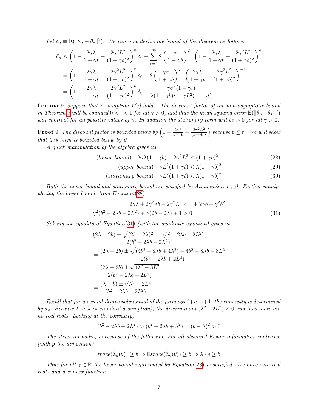Let  $\delta_n \equiv \mathbb{E}(\|\theta_n - \theta_*\|^2)$ . We can now derive the bound of the theorem as follows:

$$
\delta_n \le \left(1 - \frac{2\gamma\lambda}{1+\gamma t} + \frac{2\gamma^2 L^2}{(1+\gamma b)^2}\right)^n \delta_0 + \sum_{k=1}^{\infty} 2\left(\frac{\gamma\sigma}{1+\gamma b}\right)^2 \cdot \left(1 - \frac{2\gamma\lambda}{1+\gamma t} + \frac{2\gamma^2 L^2}{(1+\gamma b)^2}\right)^k
$$

$$
= \left(1 - \frac{2\gamma\lambda}{1+\gamma t} + \frac{2\gamma^2 L^2}{(1+\gamma b)^2}\right)^n \delta_0 + 2\left(\frac{\gamma\sigma}{1+\gamma b}\right)^2 \cdot \left(\frac{2\gamma\lambda}{1+\gamma t} - \frac{2\gamma^2 L^2}{(1+\gamma b)^2}\right)^{-1}
$$

$$
= \left(1 - \frac{2\gamma\lambda}{1+\gamma t} + \frac{2\gamma^2 L^2}{(1+\gamma b)^2}\right)^n \delta_0 + \frac{\gamma\sigma^2 (1+\gamma t)}{\lambda(1+\gamma b)^2 - \gamma L^2 (1+\gamma t)}
$$

**Lemma 9** Suppose that Assumption  $1(e)$  holds. The discount factor of the non-asymptotic bound in Theorem [8](#page-4-0) will be bounded  $0 < \cdot < 1$  for all  $\gamma > 0$ , and thus the mean squared error  $\mathbb{E}(\|\theta_n - \theta_*\|^2)$ will contract for all possible values of  $\gamma$ . In addition the stationary term will be  $>0$  for all  $\gamma > 0$ .

**Proof 9** The discount factor is bounded below by  $\left(1 - \frac{2\gamma\lambda}{1+\gamma b} + \frac{2\gamma^2 L^2}{(1+\gamma b)}\right)$  $\frac{2\gamma^2 L^2}{(1+\gamma b)^2}$  because  $b \leq t$ . We will show that this term is bounded below by 0.

A quick manipulation of the algebra gives us

$$
(lower bound) \quad 2\gamma\lambda(1+\gamma b) - 2\gamma^2L^2 < (1+\gamma b)^2 \tag{28}
$$

<span id="page-6-1"></span><span id="page-6-0"></span>
$$
(upper\ bound)\quad \gamma L^2(1+\gamma t) < \lambda (1+\gamma b)^2\tag{29}
$$

$$
(stationary bound) \quad \gamma L^2(1+\gamma t) < \lambda (1+\gamma b)^2 \tag{30}
$$

Both the upper bound and stationary bound are satisfied by Assumption 1 (e). Further manipulating the lower bound, from Equation $(28)$ ,

$$
2\gamma\lambda + 2\gamma^2\lambda b - 2\gamma^2L^2 < 1 + 2\gamma b + \gamma^2b^2
$$
  

$$
\gamma^2(b^2 - 2\lambda b + 2L^2) + \gamma(2b - 2\lambda) + 1 > 0
$$
 (31)

Solving the equality of Equation[\(31\)](#page-6-1) (with the quadratic equation) gives us

$$
\frac{(2\lambda - 2b) \pm \sqrt{(2b - 2\lambda)^2 - 4(b^2 - 2\lambda b + 2L^2)}}{2(b^2 - 2\lambda b + 2L^2)}
$$
  
= 
$$
\frac{(2\lambda - 2b) \pm \sqrt{(4b^2 - 8\lambda b + 4\lambda^2) - 4b^2 + 8\lambda b - 8L^2}}{2(b^2 - 2\lambda b + 2L^2)}
$$
  
= 
$$
\frac{(2\lambda - 2b) \pm \sqrt{4\lambda^2 - 8L^2}}{2(b^2 - 2\lambda b + 2L^2)}
$$
  
= 
$$
\frac{(\lambda - b) \pm \sqrt{\lambda^2 - 2L^2}}{(b^2 - 2\lambda b + 2L^2)}
$$

Recall that for a second-degree polynomial of the form  $a_2x^2 + a_1x + 1$ , the convexity is determined by a<sub>2</sub>. Because  $L \geq \lambda$  (a standard assumption), the discriminant  $(\lambda^2 - 2L^2) < 0$  and thus there are no real roots. Looking at the convexity,

$$
(b2 - 2\lambda b + 2L2) > (b2 - 2\lambda b + \lambda2) = (b - \lambda)2 > 0
$$

The strict inequality is because of the following. For all observed Fisher information matrices, (with p the dimesnion)

$$
trace(\hat{\mathcal{I}}_n(\theta)) \ge b \Rightarrow \mathbb{E}trace(\hat{\mathcal{I}}_n(\theta)) \ge b \Rightarrow \lambda \cdot p \ge b
$$

Thus for all  $\gamma \in \mathbb{R}$  the lower bound represented by Equation[\(28\)](#page-6-0) is satisfied. We have zero real roots and a convex function.